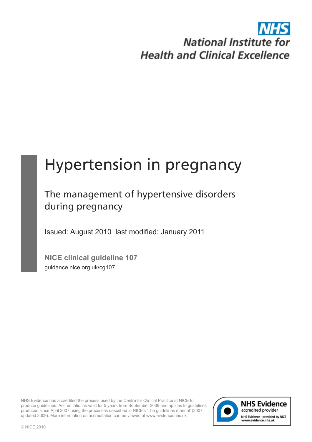# **National Institute for Health and Clinical Excellence**

# Hypertension in pregnancy

# The management of hypertensive disorders during pregnancy

Issued: August 2010 last modified: January 2011

**NICE clinical guideline 107** guidance.nice.org.uk/cg107

NHS Evidence has accredited the process used by the Centre for Clinical Practice at NICE to produce guidelines. Accreditation is valid for 5 years from September 2009 and applies to guidelines produced since April 2007 using the processes described in NICE's 'The guidelines manual' (2007, updated 2009). More information on accreditation can be viewed at www.evidence.nhs.uk

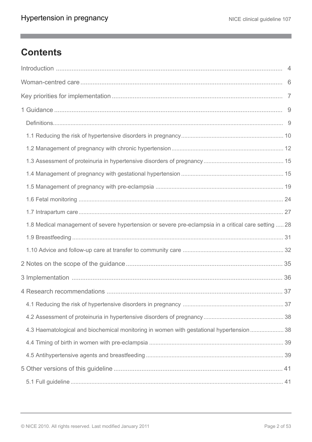m.

# **Contents**

| 1.8 Medical management of severe hypertension or severe pre-eclampsia in a critical care setting  28 |  |
|------------------------------------------------------------------------------------------------------|--|
|                                                                                                      |  |
|                                                                                                      |  |
|                                                                                                      |  |
|                                                                                                      |  |
|                                                                                                      |  |
|                                                                                                      |  |
|                                                                                                      |  |
| 4.3 Haematological and biochemical monitoring in women with gestational hypertension  38             |  |
|                                                                                                      |  |
|                                                                                                      |  |
|                                                                                                      |  |
|                                                                                                      |  |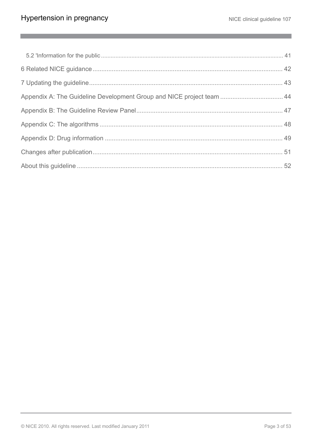$\mathbb{R}^n$ 

| Appendix A: The Guideline Development Group and NICE project team  44 |  |
|-----------------------------------------------------------------------|--|
|                                                                       |  |
|                                                                       |  |
|                                                                       |  |
|                                                                       |  |
|                                                                       |  |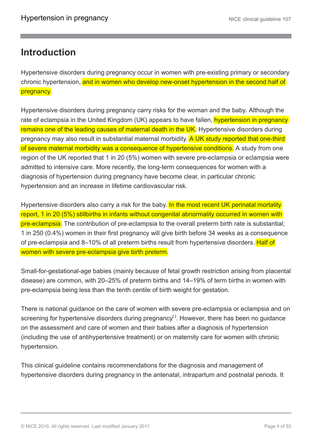### <span id="page-3-0"></span>**Introduction**

Hypertensive disorders during pregnancy occur in women with pre-existing primary or secondary chronic hypertension, and in women who develop new-onset hypertension in the second half of pregnancy.

Hypertensive disorders during pregnancy carry risks for the woman and the baby. Although the rate of eclampsia in the United Kingdom (UK) appears to have fallen, hypertension in pregnancy remains one of the leading causes of maternal death in the UK. Hypertensive disorders during pregnancy may also result in substantial maternal morbidity. A UK study reported that one-third of severe maternal morbidity was a consequence of hypertensive conditions. A study from one region of the UK reported that 1 in 20 (5%) women with severe pre-eclampsia or eclampsia were admitted to intensive care. More recently, the long-term consequences for women with a diagnosis of hypertension during pregnancy have become clear, in particular chronic hypertension and an increase in lifetime cardiovascular risk.

Hypertensive disorders also carry a risk for the baby. In the most recent UK perinatal mortality report, 1 in 20 (5%) stillbirths in infants without congenital abnormality occurred in women with pre-eclampsia. The contribution of pre-eclampsia to the overall preterm birth rate is substantial; 1 in 250 (0.4%) women in their first pregnancy will give birth before 34 weeks as a consequence of pre-eclampsia and 8–10% of all preterm births result from hypertensive disorders. Half of women with severe pre-eclampsia give birth preterm.

Small-for-gestational-age babies (mainly because of fetal growth restriction arising from placental disease) are common, with 20–25% of preterm births and 14–19% of term births in women with pre-eclampsia being less than the tenth centile of birth weight for gestation.

<span id="page-3-1"></span>There is national guidance on the care of women with severe pre-eclampsia or eclampsia and on screening for hypertensive disorders during pregnancy<sup>[[1](#page-4-0)]</sup>. However, there has been no guidance on the assessment and care of women and their babies after a diagnosis of hypertension (including the use of antihypertensive treatment) or on maternity care for women with chronic hypertension.

This clinical guideline contains recommendations for the diagnosis and management of hypertensive disorders during pregnancy in the antenatal, intrapartum and postnatal periods. It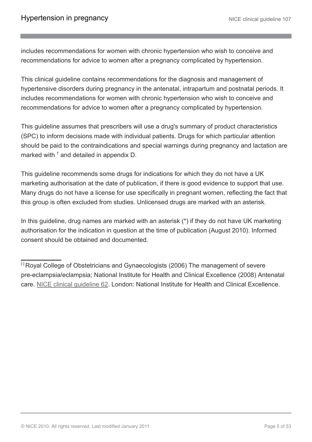includes recommendations for women with chronic hypertension who wish to conceive and recommendations for advice to women after a pregnancy complicated by hypertension.

This clinical guideline contains recommendations for the diagnosis and management of hypertensive disorders during pregnancy in the antenatal, intrapartum and postnatal periods. It includes recommendations for women with chronic hypertension who wish to conceive and recommendations for advice to women after a pregnancy complicated by hypertension.

This guideline assumes that prescribers will use a drug's summary of product characteristics (SPC) to inform decisions made with individual patients*.* Drugs for which particular attention should be paid to the contraindications and special warnings during pregnancy and lactation are marked with  $<sup>†</sup>$  and detailed in appendix D.</sup>

This guideline recommends some drugs for indications for which they do not have a UK marketing authorisation at the date of publication, if there is good evidence to support that use. Many drugs do not have a license for use specifically in pregnant women, reflecting the fact that this group is often excluded from studies. Unlicensed drugs are marked with an asterisk.

In this guideline, drug names are marked with an asterisk (\*) if they do not have UK marketing authorisation for the indication in question at the time of publication (August 2010). Informed consent should be obtained and documented.

<span id="page-4-0"></span>[[1](#page-3-1)] Roval College of Obstetricians and Gynaecologists (2006) The management of severe pre-eclampsia/eclampsia; National Institute for Health and Clinical Excellence (2008) Antenatal care. [NICE clinical guideline 62](http://www.nice.org.uk/guidance/CG62). London: National Institute for Health and Clinical Excellence.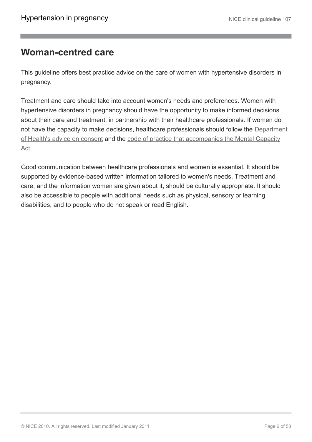### <span id="page-5-0"></span>**Woman-centred care**

This guideline offers best practice advice on the care of women with hypertensive disorders in pregnancy.

Treatment and care should take into account women's needs and preferences. Women with hypertensive disorders in pregnancy should have the opportunity to make informed decisions about their care and treatment, in partnership with their healthcare professionals. If women do not have the capacity to make decisions, healthcare professionals should follow the [Department](http://www.dh.gov.uk/en/DH_103643) [of Health's advice on consent](http://www.dh.gov.uk/en/DH_103643) and the [code of practice that accompanies the Mental Capacity](http://www.dh.gov.uk/en/SocialCare/Deliveringsocialcare/MentalCapacity) [Act](http://www.dh.gov.uk/en/SocialCare/Deliveringsocialcare/MentalCapacity).

Good communication between healthcare professionals and women is essential. It should be supported by evidence-based written information tailored to women's needs. Treatment and care, and the information women are given about it, should be culturally appropriate. It should also be accessible to people with additional needs such as physical, sensory or learning disabilities, and to people who do not speak or read English.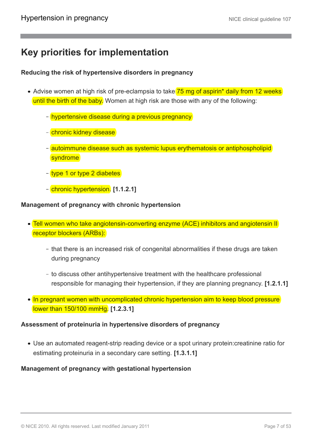### <span id="page-6-0"></span>**Key priorities for implementation**

#### **Reducing the risk of hypertensive disorders in pregnancy**

- Advise women at high risk of pre-eclampsia to take 75 mg of aspirin<sup>\*</sup> daily from 12 weeks until the birth of the baby. Women at high risk are those with any of the following:
	- hypertensive disease during a previous pregnancy
	- chronic kidney disease
	- autoimmune disease such as systemic lupus erythematosis or antiphospholipid syndrome
	- type 1 or type 2 diabetes
	- chronic hypertension. **[1.1.2.1]**

#### **Management of pregnancy with chronic hypertension**

- Tell women who take angiotensin-converting enzyme (ACE) inhibitors and angiotensin II receptor blockers (ARBs):
	- that there is an increased risk of congenital abnormalities if these drugs are taken during pregnancy
	- to discuss other antihypertensive treatment with the healthcare professional responsible for managing their hypertension, if they are planning pregnancy. **[1.2.1.1]**
- In pregnant women with uncomplicated chronic hypertension aim to keep blood pressure lower than 150/100 mmHg. **[1.2.3.1]**

#### **Assessment of proteinuria in hypertensive disorders of pregnancy**

Use an automated reagent-strip reading device or a spot urinary protein:creatinine ratio for estimating proteinuria in a secondary care setting. **[1.3.1.1]**

#### **Management of pregnancy with gestational hypertension**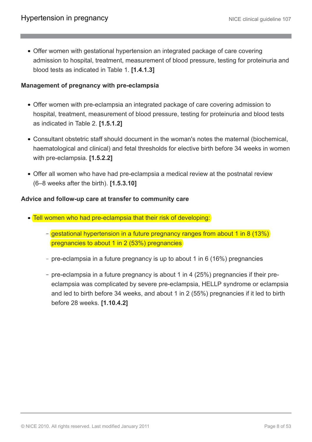Offer women with gestational hypertension an integrated package of care covering admission to hospital, treatment, measurement of blood pressure, testing for proteinuria and blood tests as indicated in Table 1. **[1.4.1.3]**

#### **Management of pregnancy with pre-eclampsia**

- Offer women with pre-eclampsia an integrated package of care covering admission to hospital, treatment, measurement of blood pressure, testing for proteinuria and blood tests as indicated in Table 2. **[1.5.1.2]**
- Consultant obstetric staff should document in the woman's notes the maternal (biochemical, haematological and clinical) and fetal thresholds for elective birth before 34 weeks in women with pre-eclampsia. **[1.5.2.2]**
- Offer all women who have had pre-eclampsia a medical review at the postnatal review (6–8 weeks after the birth). **[1.5.3.10]**

#### **Advice and follow-up care at transfer to community care**

- Tell women who had pre-eclampsia that their risk of developing:
	- gestational hypertension in a future pregnancy ranges from about 1 in 8 (13%) pregnancies to about 1 in 2 (53%) pregnancies
	- pre-eclampsia in a future pregnancy is up to about 1 in 6 (16%) pregnancies
	- pre-eclampsia in a future pregnancy is about 1 in 4 (25%) pregnancies if their preeclampsia was complicated by severe pre-eclampsia, HELLP syndrome or eclampsia and led to birth before 34 weeks, and about 1 in 2 (55%) pregnancies if it led to birth before 28 weeks. **[1.10.4.2]**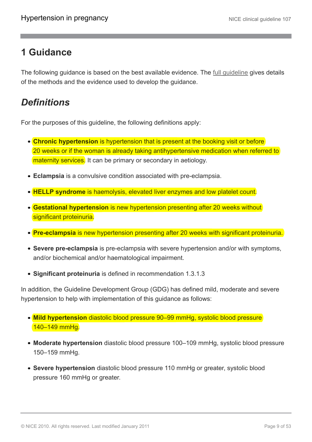### <span id="page-8-0"></span>**1 Guidance**

The following guidance is based on the best available evidence. The <u>[full guideline](http://www.nice.org.uk/guidance/CG107)</u> gives details of the methods and the evidence used to develop the guidance.

# <span id="page-8-1"></span>*Definitions*

For the purposes of this guideline, the following definitions apply:

- **Chronic hypertension** is hypertension that is present at the booking visit or before 20 weeks or if the woman is already taking antihypertensive medication when referred to maternity services. It can be primary or secondary in aetiology.
- **Eclampsia** is a convulsive condition associated with pre-eclampsia.
- **HELLP syndrome** is haemolysis, elevated liver enzymes and low platelet count.
- **Gestational hypertension** is new hypertension presenting after 20 weeks without significant proteinuria.
- **Pre-eclampsia** is new hypertension presenting after 20 weeks with significant proteinuria.
- **Severe pre-eclampsia** is pre-eclampsia with severe hypertension and/or with symptoms, and/or biochemical and/or haematological impairment.
- **Significant proteinuria** is defined in recommendation 1.3.1.3

In addition, the Guideline Development Group (GDG) has defined mild, moderate and severe hypertension to help with implementation of this guidance as follows:

- **Mild hypertension** diastolic blood pressure 90–99 mmHg, systolic blood pressure 140–149 mmHg.
- **Moderate hypertension** diastolic blood pressure 100–109 mmHg, systolic blood pressure 150–159 mmHg.
- **Severe hypertension** diastolic blood pressure 110 mmHg or greater, systolic blood pressure 160 mmHg or greater.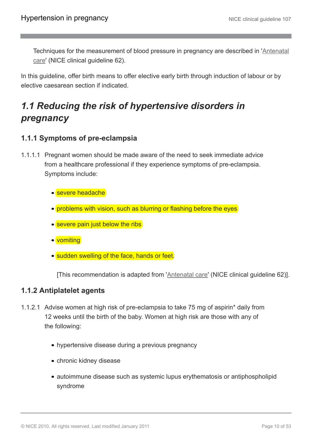Techniques for the measurement of blood pressure in pregnancy are described in '[Antenatal](http://guidance.nice.org.uk/CG62) [care](http://guidance.nice.org.uk/CG62)' (NICE clinical guideline 62).

In this guideline, offer birth means to offer elective early birth through induction of labour or by elective caesarean section if indicated.

# <span id="page-9-0"></span>*1.1 Reducing the risk of hypertensive disorders in pregnancy*

### **1.1.1 Symptoms of pre-eclampsia**

- 1.1.1.1 Pregnant women should be made aware of the need to seek immediate advice from a healthcare professional if they experience symptoms of pre-eclampsia. Symptoms include:
	- severe headache
	- problems with vision, such as blurring or flashing before the eyes
	- severe pain just below the ribs
	- vomiting
	- sudden swelling of the face, hands or feet.

[This recommendation is adapted from '[Antenatal care](http://guidance.nice.org.uk/CG62)' (NICE clinical guideline 62)].

### **1.1.2 Antiplatelet agents**

- 1.1.2.1 Advise women at high risk of pre-eclampsia to take 75 mg of aspirin\* daily from 12 weeks until the birth of the baby. Women at high risk are those with any of the following:
	- hypertensive disease during a previous pregnancy
	- chronic kidney disease
	- autoimmune disease such as systemic lupus erythematosis or antiphospholipid syndrome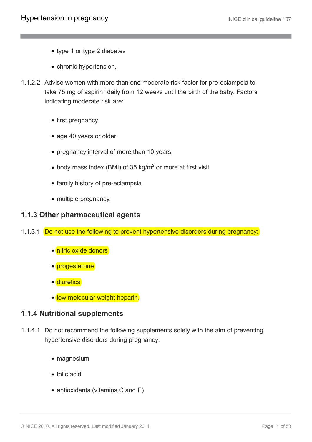- type 1 or type 2 diabetes
- chronic hypertension.
- 1.1.2.2 Advise women with more than one moderate risk factor for pre-eclampsia to take 75 mg of aspirin\* daily from 12 weeks until the birth of the baby. Factors indicating moderate risk are:
	- first pregnancy
	- age 40 years or older
	- pregnancy interval of more than 10 years
	- body mass index (BMI) of 35 kg/m<sup>2</sup> or more at first visit
	- family history of pre-eclampsia
	- multiple pregnancy.

#### **1.1.3 Other pharmaceutical agents**

- 1.1.3.1 Do not use the following to prevent hypertensive disorders during pregnancy:
	- nitric oxide donors
	- progesterone
	- diuretics
	- low molecular weight heparin.

#### **1.1.4 Nutritional supplements**

- 1.1.4.1 Do not recommend the following supplements solely with the aim of preventing hypertensive disorders during pregnancy:
	- magnesium
	- folic acid
	- antioxidants (vitamins C and E)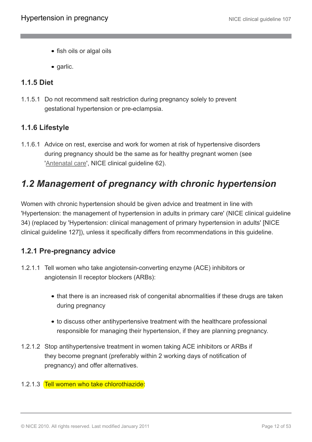- fish oils or algal oils
- garlic.

### **1.1.5 Diet**

1.1.5.1 Do not recommend salt restriction during pregnancy solely to prevent gestational hypertension or pre-eclampsia.

### **1.1.6 Lifestyle**

1.1.6.1 Advice on rest, exercise and work for women at risk of hypertensive disorders during pregnancy should be the same as for healthy pregnant women (see '[Antenatal care](http://guidance.nice.org.uk/CG62)', NICE clinical guideline 62).

### <span id="page-11-0"></span>*1.2 Management of pregnancy with chronic hypertension*

Women with chronic hypertension should be given advice and treatment in line with 'Hypertension: the management of hypertension in adults in primary care' (NICE clinical guideline 34) (replaced by 'Hypertension: clinical management of primary hypertension in adults' [NICE clinical guideline 127]), unless it specifically differs from recommendations in this guideline.

### **1.2.1 Pre-pregnancy advice**

- 1.2.1.1 Tell women who take angiotensin-converting enzyme (ACE) inhibitors or angiotensin II receptor blockers (ARBs):
	- that there is an increased risk of congenital abnormalities if these drugs are taken during pregnancy
	- to discuss other antihypertensive treatment with the healthcare professional responsible for managing their hypertension, if they are planning pregnancy.
- 1.2.1.2 Stop antihypertensive treatment in women taking ACE inhibitors or ARBs if they become pregnant (preferably within 2 working days of notification of pregnancy) and offer alternatives.

#### 1.2.1.3 Tell women who take chlorothiazide: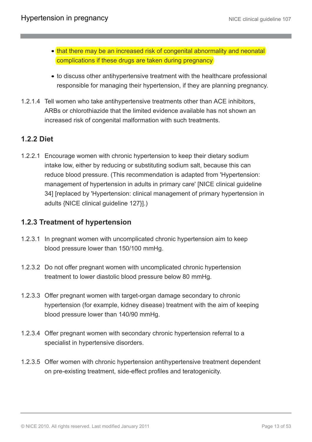- that there may be an increased risk of congenital abnormality and neonatal complications if these drugs are taken during pregnancy
- to discuss other antihypertensive treatment with the healthcare professional responsible for managing their hypertension, if they are planning pregnancy.
- 1.2.1.4 Tell women who take antihypertensive treatments other than ACE inhibitors, ARBs or chlorothiazide that the limited evidence available has not shown an increased risk of congenital malformation with such treatments.

### **1.2.2 Diet**

1.2.2.1 Encourage women with chronic hypertension to keep their dietary sodium intake low, either by reducing or substituting sodium salt, because this can reduce blood pressure. (This recommendation is adapted from 'Hypertension: management of hypertension in adults in primary care' [NICE clinical guideline 34] [replaced by 'Hypertension: clinical management of primary hypertension in adults {NICE clinical guideline 127}].)

### **1.2.3 Treatment of hypertension**

- 1.2.3.1 In pregnant women with uncomplicated chronic hypertension aim to keep blood pressure lower than 150/100 mmHg.
- 1.2.3.2 Do not offer pregnant women with uncomplicated chronic hypertension treatment to lower diastolic blood pressure below 80 mmHg.
- 1.2.3.3 Offer pregnant women with target-organ damage secondary to chronic hypertension (for example, kidney disease) treatment with the aim of keeping blood pressure lower than 140/90 mmHg.
- 1.2.3.4 Offer pregnant women with secondary chronic hypertension referral to a specialist in hypertensive disorders.
- 1.2.3.5 Offer women with chronic hypertension antihypertensive treatment dependent on pre-existing treatment, side-effect profiles and teratogenicity.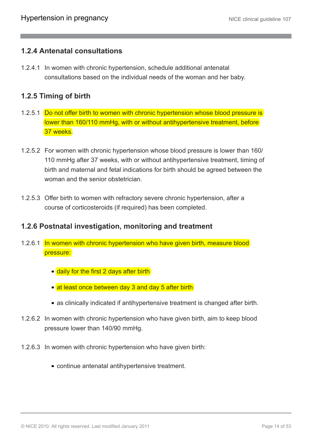### **1.2.4 Antenatal consultations**

1.2.4.1 In women with chronic hypertension, schedule additional antenatal consultations based on the individual needs of the woman and her baby.

### **1.2.5 Timing of birth**

- 1.2.5.1 Do not offer birth to women with chronic hypertension whose blood pressure is lower than 160/110 mmHg, with or without antihypertensive treatment, before 37 weeks.
- 1.2.5.2 For women with chronic hypertension whose blood pressure is lower than 160/ 110 mmHg after 37 weeks, with or without antihypertensive treatment, timing of birth and maternal and fetal indications for birth should be agreed between the woman and the senior obstetrician
- 1.2.5.3 Offer birth to women with refractory severe chronic hypertension, after a course of corticosteroids (if required) has been completed.

### **1.2.6 Postnatal investigation, monitoring and treatment**

- 1.2.6.1 In women with chronic hypertension who have given birth, measure blood pressure:
	- daily for the first 2 days after birth
	- at least once between day 3 and day 5 after birth
	- as clinically indicated if antihypertensive treatment is changed after birth.
- 1.2.6.2 In women with chronic hypertension who have given birth, aim to keep blood pressure lower than 140/90 mmHg.
- 1.2.6.3 In women with chronic hypertension who have given birth:
	- continue antenatal antihypertensive treatment.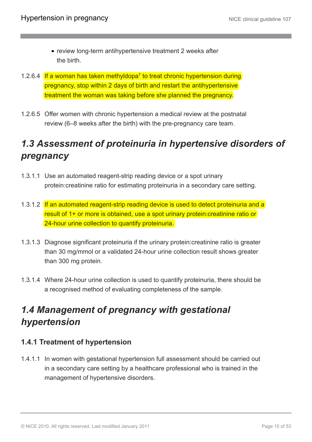- review long-term antihypertensive treatment 2 weeks after the birth.
- 1.2.6.4 If a woman has taken methyldopa<sup>†</sup> to treat chronic hypertension during pregnancy, stop within 2 days of birth and restart the antihypertensive treatment the woman was taking before she planned the pregnancy.
- 1.2.6.5 Offer women with chronic hypertension a medical review at the postnatal review (6–8 weeks after the birth) with the pre-pregnancy care team.

# <span id="page-14-0"></span>*1.3 Assessment of proteinuria in hypertensive disorders of pregnancy*

- 1.3.1.1 Use an automated reagent-strip reading device or a spot urinary protein:creatinine ratio for estimating proteinuria in a secondary care setting.
- 1.3.1.2 If an automated reagent-strip reading device is used to detect proteinuria and a result of 1+ or more is obtained, use a spot urinary protein:creatinine ratio or 24-hour urine collection to quantify proteinuria.
- 1.3.1.3 Diagnose significant proteinuria if the urinary protein:creatinine ratio is greater than 30 mg/mmol or a validated 24-hour urine collection result shows greater than 300 mg protein.
- 1.3.1.4 Where 24-hour urine collection is used to quantify proteinuria, there should be a recognised method of evaluating completeness of the sample.

# <span id="page-14-1"></span>*1.4 Management of pregnancy with gestational hypertension*

### **1.4.1 Treatment of hypertension**

1.4.1.1 In women with gestational hypertension full assessment should be carried out in a secondary care setting by a healthcare professional who is trained in the management of hypertensive disorders.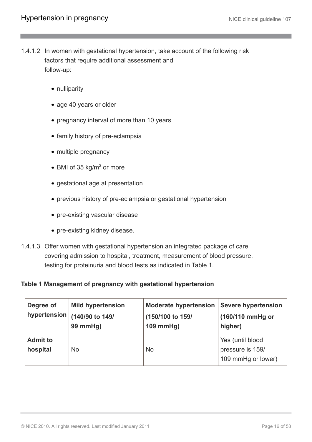- 1.4.1.2 In women with gestational hypertension, take account of the following risk factors that require additional assessment and follow-up:
	- nulliparity
	- age 40 years or older
	- pregnancy interval of more than 10 years
	- family history of pre-eclampsia
	- multiple pregnancy
	- BMI of 35 kg/m<sup>2</sup> or more
	- gestational age at presentation
	- previous history of pre-eclampsia or gestational hypertension
	- pre-existing vascular disease
	- pre-existing kidney disease.
- 1.4.1.3 Offer women with gestational hypertension an integrated package of care covering admission to hospital, treatment, measurement of blood pressure, testing for proteinuria and blood tests as indicated in Table 1.

#### **Table 1 Management of pregnancy with gestational hypertension**

| Degree of<br>hypertension   | <b>Mild hypertension</b><br>(140/90 to 149/<br>99 mmHg) | <b>Moderate hypertension</b><br>(150/100 to 159/<br>$109$ mmHg) | <b>Severe hypertension</b><br>(160/110 mmHg or<br>higher)  |
|-----------------------------|---------------------------------------------------------|-----------------------------------------------------------------|------------------------------------------------------------|
| <b>Admit to</b><br>hospital | <b>No</b>                                               | <b>No</b>                                                       | Yes (until blood<br>pressure is 159/<br>109 mmHg or lower) |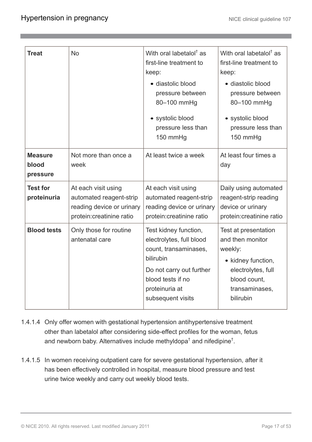| <b>Treat</b>                        | <b>No</b>                                                                                                | With oral labetalol <sup>†</sup> as<br>first-line treatment to<br>keep:<br>· diastolic blood<br>pressure between<br>80-100 mmHg<br>• systolic blood<br>pressure less than<br>150 mmHg | With oral labetalol <sup>†</sup> as<br>first-line treatment to<br>keep:<br>· diastolic blood<br>pressure between<br>80-100 mmHg<br>• systolic blood<br>pressure less than<br>150 mmHg |
|-------------------------------------|----------------------------------------------------------------------------------------------------------|---------------------------------------------------------------------------------------------------------------------------------------------------------------------------------------|---------------------------------------------------------------------------------------------------------------------------------------------------------------------------------------|
| <b>Measure</b><br>blood<br>pressure | Not more than once a<br>week                                                                             | At least twice a week                                                                                                                                                                 | At least four times a<br>day                                                                                                                                                          |
| <b>Test for</b><br>proteinuria      | At each visit using<br>automated reagent-strip<br>reading device or urinary<br>protein: creatinine ratio | At each visit using<br>automated reagent-strip<br>reading device or urinary<br>protein: creatinine ratio                                                                              | Daily using automated<br>reagent-strip reading<br>device or urinary<br>protein: creatinine ratio                                                                                      |
| <b>Blood tests</b>                  | Only those for routine<br>antenatal care                                                                 | Test kidney function,<br>electrolytes, full blood<br>count, transaminases,<br>bilirubin<br>Do not carry out further<br>blood tests if no<br>proteinuria at<br>subsequent visits       | Test at presentation<br>and then monitor<br>weekly:<br>• kidney function,<br>electrolytes, full<br>blood count,<br>transaminases,<br>bilirubin                                        |

- 1.4.1.4 Only offer women with gestational hypertension antihypertensive treatment other than labetalol after considering side-effect profiles for the woman, fetus and newborn baby. Alternatives include methyldopa<sup>†</sup> and nifedipine<sup>†</sup>.
- 1.4.1.5 In women receiving outpatient care for severe gestational hypertension, after it has been effectively controlled in hospital, measure blood pressure and test urine twice weekly and carry out weekly blood tests.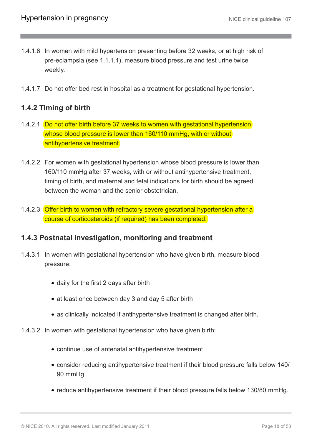- 1.4.1.6 In women with mild hypertension presenting before 32 weeks, or at high risk of pre-eclampsia (see 1.1.1.1), measure blood pressure and test urine twice weekly.
- 1.4.1.7 Do not offer bed rest in hospital as a treatment for gestational hypertension.

### **1.4.2 Timing of birth**

- 1.4.2.1 Do not offer birth before 37 weeks to women with gestational hypertension whose blood pressure is lower than 160/110 mmHg, with or without antihypertensive treatment.
- 1.4.2.2 For women with gestational hypertension whose blood pressure is lower than 160/110 mmHg after 37 weeks, with or without antihypertensive treatment, timing of birth, and maternal and fetal indications for birth should be agreed between the woman and the senior obstetrician.
- 1.4.2.3 Offer birth to women with refractory severe gestational hypertension after a course of corticosteroids (if required) has been completed.

### **1.4.3 Postnatal investigation, monitoring and treatment**

- 1.4.3.1 In women with gestational hypertension who have given birth, measure blood pressure:
	- daily for the first 2 days after birth
	- at least once between day 3 and day 5 after birth
	- as clinically indicated if antihypertensive treatment is changed after birth.
- 1.4.3.2 In women with gestational hypertension who have given birth:
	- continue use of antenatal antihypertensive treatment
	- consider reducing antihypertensive treatment if their blood pressure falls below 140/ 90 mmHg
	- reduce antihypertensive treatment if their blood pressure falls below 130/80 mmHg.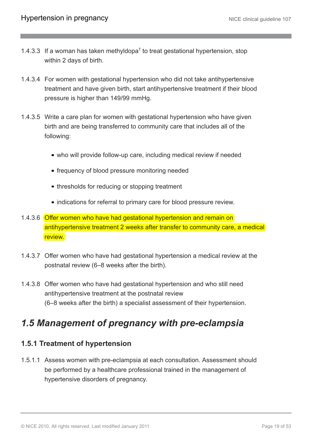- 1.4.3.3 If a woman has taken methyldopa<sup>†</sup> to treat gestational hypertension, stop within 2 days of birth.
- 1.4.3.4 For women with gestational hypertension who did not take antihypertensive treatment and have given birth, start antihypertensive treatment if their blood pressure is higher than 149/99 mmHg.
- 1.4.3.5 Write a care plan for women with gestational hypertension who have given birth and are being transferred to community care that includes all of the following:
	- who will provide follow-up care, including medical review if needed
	- frequency of blood pressure monitoring needed
	- thresholds for reducing or stopping treatment
	- indications for referral to primary care for blood pressure review.
- 1.4.3.6 Offer women who have had gestational hypertension and remain on antihypertensive treatment 2 weeks after transfer to community care, a medical review.
- 1.4.3.7 Offer women who have had gestational hypertension a medical review at the postnatal review (6–8 weeks after the birth).
- 1.4.3.8 Offer women who have had gestational hypertension and who still need antihypertensive treatment at the postnatal review (6–8 weeks after the birth) a specialist assessment of their hypertension.

# <span id="page-18-0"></span>*1.5 Management of pregnancy with pre-eclampsia*

### **1.5.1 Treatment of hypertension**

1.5.1.1 Assess women with pre-eclampsia at each consultation. Assessment should be performed by a healthcare professional trained in the management of hypertensive disorders of pregnancy.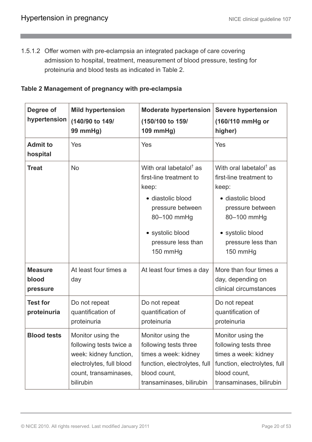1.5.1.2 Offer women with pre-eclampsia an integrated package of care covering admission to hospital, treatment, measurement of blood pressure, testing for proteinuria and blood tests as indicated in Table 2.

#### **Table 2 Management of pregnancy with pre-eclampsia**

| Degree of<br>hypertension           | <b>Mild hypertension</b><br>(140/90 to 149/<br>99 mmHg)                                                                                  | <b>Moderate hypertension</b><br>(150/100 to 159/<br>109 mmHg)                                                                                                                         | <b>Severe hypertension</b><br>(160/110 mmHg or<br>higher)                                                                                                                             |
|-------------------------------------|------------------------------------------------------------------------------------------------------------------------------------------|---------------------------------------------------------------------------------------------------------------------------------------------------------------------------------------|---------------------------------------------------------------------------------------------------------------------------------------------------------------------------------------|
| <b>Admit to</b><br>hospital         | Yes                                                                                                                                      | Yes                                                                                                                                                                                   | Yes                                                                                                                                                                                   |
| <b>Treat</b>                        | <b>No</b>                                                                                                                                | With oral labetalol <sup>†</sup> as<br>first-line treatment to<br>keep:<br>• diastolic blood<br>pressure between<br>80-100 mmHg<br>• systolic blood<br>pressure less than<br>150 mmHg | With oral labetalol <sup>†</sup> as<br>first-line treatment to<br>keep:<br>• diastolic blood<br>pressure between<br>80-100 mmHg<br>• systolic blood<br>pressure less than<br>150 mmHg |
| <b>Measure</b><br>blood<br>pressure | At least four times a<br>day                                                                                                             | At least four times a day                                                                                                                                                             | More than four times a<br>day, depending on<br>clinical circumstances                                                                                                                 |
| <b>Test for</b><br>proteinuria      | Do not repeat<br>quantification of<br>proteinuria                                                                                        | Do not repeat<br>quantification of<br>proteinuria                                                                                                                                     | Do not repeat<br>quantification of<br>proteinuria                                                                                                                                     |
| <b>Blood tests</b>                  | Monitor using the<br>following tests twice a<br>week: kidney function,<br>electrolytes, full blood<br>count, transaminases,<br>bilirubin | Monitor using the<br>following tests three<br>times a week: kidney<br>function, electrolytes, full<br>blood count,<br>transaminases, bilirubin                                        | Monitor using the<br>following tests three<br>times a week: kidney<br>function, electrolytes, full<br>blood count,<br>transaminases, bilirubin                                        |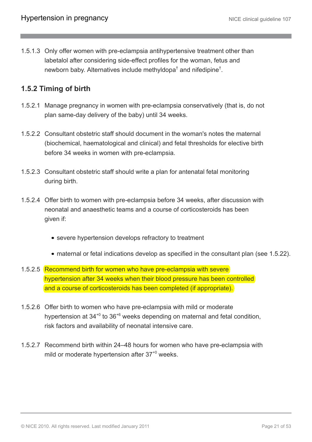1.5.1.3 Only offer women with pre-eclampsia antihypertensive treatment other than labetalol after considering side-effect profiles for the woman, fetus and newborn baby. Alternatives include methyldopa<sup>†</sup> and nifedipine<sup>†</sup>.

### **1.5.2 Timing of birth**

- 1.5.2.1 Manage pregnancy in women with pre-eclampsia conservatively (that is, do not plan same-day delivery of the baby) until 34 weeks.
- 1.5.2.2 Consultant obstetric staff should document in the woman's notes the maternal (biochemical, haematological and clinical) and fetal thresholds for elective birth before 34 weeks in women with pre-eclampsia.
- 1.5.2.3 Consultant obstetric staff should write a plan for antenatal fetal monitoring during birth.
- 1.5.2.4 Offer birth to women with pre-eclampsia before 34 weeks, after discussion with neonatal and anaesthetic teams and a course of corticosteroids has been given if:
	- severe hypertension develops refractory to treatment
	- maternal or fetal indications develop as specified in the consultant plan (see 1.5.22).
- 1.5.2.5 Recommend birth for women who have pre-eclampsia with severe hypertension after 34 weeks when their blood pressure has been controlled and a course of corticosteroids has been completed (if appropriate).
- 1.5.2.6 Offer birth to women who have pre-eclampsia with mild or moderate hypertension at  $34^{+0}$  to  $36^{+6}$  weeks depending on maternal and fetal condition, risk factors and availability of neonatal intensive care.
- 1.5.2.7 Recommend birth within 24–48 hours for women who have pre-eclampsia with mild or moderate hypertension after 37<sup>+0</sup> weeks.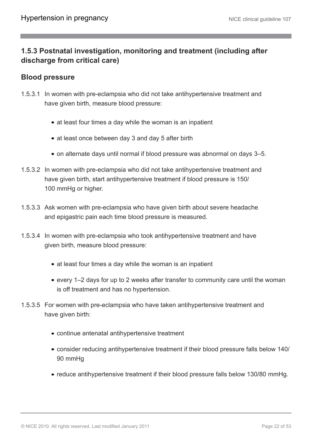### **1.5.3 Postnatal investigation, monitoring and treatment (including after discharge from critical care)**

### **Blood pressure**

- 1.5.3.1 In women with pre-eclampsia who did not take antihypertensive treatment and have given birth, measure blood pressure:
	- at least four times a day while the woman is an inpatient
	- at least once between day 3 and day 5 after birth
	- on alternate days until normal if blood pressure was abnormal on days 3–5.
- 1.5.3.2 In women with pre-eclampsia who did not take antihypertensive treatment and have given birth, start antihypertensive treatment if blood pressure is 150/ 100 mmHg or higher.
- 1.5.3.3 Ask women with pre-eclampsia who have given birth about severe headache and epigastric pain each time blood pressure is measured.
- 1.5.3.4 In women with pre-eclampsia who took antihypertensive treatment and have given birth, measure blood pressure:
	- at least four times a day while the woman is an inpatient
	- every 1–2 days for up to 2 weeks after transfer to community care until the woman is off treatment and has no hypertension.
- 1.5.3.5 For women with pre-eclampsia who have taken antihypertensive treatment and have given birth:
	- continue antenatal antihypertensive treatment
	- consider reducing antihypertensive treatment if their blood pressure falls below 140/ 90 mmHg
	- reduce antihypertensive treatment if their blood pressure falls below 130/80 mmHg.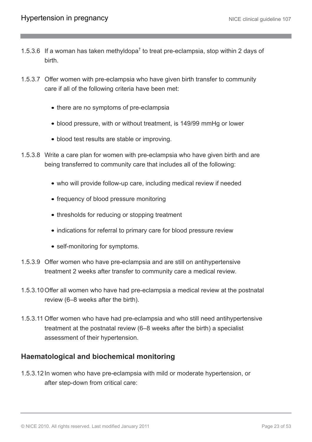- 1.5.3.6 If a woman has taken methyldopa<sup>†</sup> to treat pre-eclampsia, stop within 2 days of birth.
- 1.5.3.7 Offer women with pre-eclampsia who have given birth transfer to community care if all of the following criteria have been met:
	- there are no symptoms of pre-eclampsia
	- blood pressure, with or without treatment, is 149/99 mmHg or lower
	- blood test results are stable or improving.
- 1.5.3.8 Write a care plan for women with pre-eclampsia who have given birth and are being transferred to community care that includes all of the following:
	- who will provide follow-up care, including medical review if needed
	- frequency of blood pressure monitoring
	- thresholds for reducing or stopping treatment
	- indications for referral to primary care for blood pressure review
	- self-monitoring for symptoms.
- 1.5.3.9 Offer women who have pre-eclampsia and are still on antihypertensive treatment 2 weeks after transfer to community care a medical review.
- 1.5.3.10Offer all women who have had pre-eclampsia a medical review at the postnatal review (6–8 weeks after the birth).
- 1.5.3.11 Offer women who have had pre-eclampsia and who still need antihypertensive treatment at the postnatal review (6–8 weeks after the birth) a specialist assessment of their hypertension.

### **Haematological and biochemical monitoring**

1.5.3.12 In women who have pre-eclampsia with mild or moderate hypertension, or after step-down from critical care: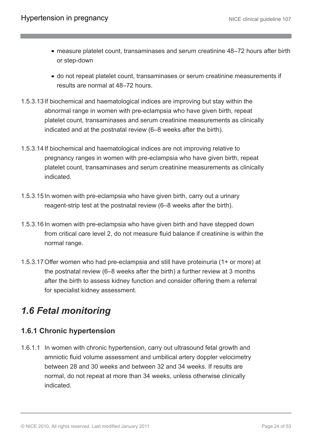- measure platelet count, transaminases and serum creatinine 48–72 hours after birth or step-down
- do not repeat platelet count, transaminases or serum creatinine measurements if results are normal at 48–72 hours.
- 1.5.3.13 If biochemical and haematological indices are improving but stay within the abnormal range in women with pre-eclampsia who have given birth, repeat platelet count, transaminases and serum creatinine measurements as clinically indicated and at the postnatal review (6–8 weeks after the birth).
- 1.5.3.14 If biochemical and haematological indices are not improving relative to pregnancy ranges in women with pre-eclampsia who have given birth, repeat platelet count, transaminases and serum creatinine measurements as clinically indicated.
- 1.5.3.15 In women with pre-eclampsia who have given birth, carry out a urinary reagent-strip test at the postnatal review (6–8 weeks after the birth).
- 1.5.3.16 In women with pre-eclampsia who have given birth and have stepped down from critical care level 2, do not measure fluid balance if creatinine is within the normal range.
- 1.5.3.17Offer women who had pre-eclampsia and still have proteinuria (1+ or more) at the postnatal review (6–8 weeks after the birth) a further review at 3 months after the birth to assess kidney function and consider offering them a referral for specialist kidney assessment.

# <span id="page-23-0"></span>*1.6 Fetal monitoring*

### **1.6.1 Chronic hypertension**

1.6.1.1 In women with chronic hypertension, carry out ultrasound fetal growth and amniotic fluid volume assessment and umbilical artery doppler velocimetry between 28 and 30 weeks and between 32 and 34 weeks. If results are normal, do not repeat at more than 34 weeks, unless otherwise clinically indicated.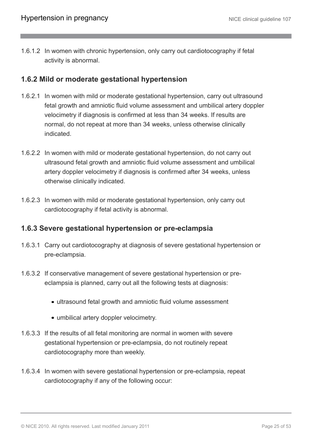1.6.1.2 In women with chronic hypertension, only carry out cardiotocography if fetal activity is abnormal.

#### **1.6.2 Mild or moderate gestational hypertension**

- 1.6.2.1 In women with mild or moderate gestational hypertension, carry out ultrasound fetal growth and amniotic fluid volume assessment and umbilical artery doppler velocimetry if diagnosis is confirmed at less than 34 weeks. If results are normal, do not repeat at more than 34 weeks, unless otherwise clinically indicated.
- 1.6.2.2 In women with mild or moderate gestational hypertension, do not carry out ultrasound fetal growth and amniotic fluid volume assessment and umbilical artery doppler velocimetry if diagnosis is confirmed after 34 weeks, unless otherwise clinically indicated.
- 1.6.2.3 In women with mild or moderate gestational hypertension, only carry out cardiotocography if fetal activity is abnormal.

#### **1.6.3 Severe gestational hypertension or pre-eclampsia**

- 1.6.3.1 Carry out cardiotocography at diagnosis of severe gestational hypertension or pre-eclampsia.
- 1.6.3.2 If conservative management of severe gestational hypertension or preeclampsia is planned, carry out all the following tests at diagnosis:
	- ultrasound fetal growth and amniotic fluid volume assessment
	- umbilical artery doppler velocimetry.
- 1.6.3.3 If the results of all fetal monitoring are normal in women with severe gestational hypertension or pre-eclampsia, do not routinely repeat cardiotocography more than weekly.
- 1.6.3.4 In women with severe gestational hypertension or pre-eclampsia, repeat cardiotocography if any of the following occur: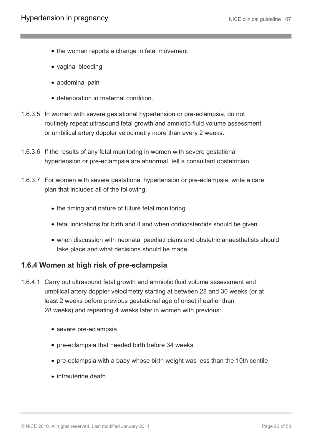- the woman reports a change in fetal movement
- vaginal bleeding
- abdominal pain
- deterioration in maternal condition.
- 1.6.3.5 In women with severe gestational hypertension or pre-eclampsia, do not routinely repeat ultrasound fetal growth and amniotic fluid volume assessment or umbilical artery doppler velocimetry more than every 2 weeks.
- 1.6.3.6 If the results of any fetal monitoring in women with severe gestational hypertension or pre-eclampsia are abnormal, tell a consultant obstetrician.
- 1.6.3.7 For women with severe gestational hypertension or pre-eclampsia, write a care plan that includes all of the following:
	- the timing and nature of future fetal monitoring
	- fetal indications for birth and if and when corticosteroids should be given
	- when discussion with neonatal paediatricians and obstetric anaesthetists should take place and what decisions should be made.

#### **1.6.4 Women at high risk of pre-eclampsia**

- 1.6.4.1 Carry out ultrasound fetal growth and amniotic fluid volume assessment and umbilical artery doppler velocimetry starting at between 28 and 30 weeks (or at least 2 weeks before previous gestational age of onset if earlier than 28 weeks) and repeating 4 weeks later in women with previous:
	- severe pre-eclampsia
	- pre-eclampsia that needed birth before 34 weeks
	- pre-eclampsia with a baby whose birth weight was less than the 10th centile
	- intrauterine death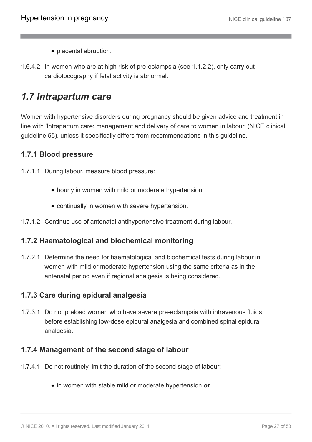- placental abruption.
- 1.6.4.2 In women who are at high risk of pre-eclampsia (see 1.1.2.2), only carry out cardiotocography if fetal activity is abnormal.

### <span id="page-26-0"></span>*1.7 Intrapartum care*

Women with hypertensive disorders during pregnancy should be given advice and treatment in line with 'Intrapartum care: management and delivery of care to women in labour' (NICE clinical guideline 55), unless it specifically differs from recommendations in this guideline.

### **1.7.1 Blood pressure**

1.7.1.1 During labour, measure blood pressure:

- hourly in women with mild or moderate hypertension
- continually in women with severe hypertension.
- 1.7.1.2 Continue use of antenatal antihypertensive treatment during labour.

### **1.7.2 Haematological and biochemical monitoring**

1.7.2.1 Determine the need for haematological and biochemical tests during labour in women with mild or moderate hypertension using the same criteria as in the antenatal period even if regional analgesia is being considered.

### **1.7.3 Care during epidural analgesia**

1.7.3.1 Do not preload women who have severe pre-eclampsia with intravenous fluids before establishing low-dose epidural analgesia and combined spinal epidural analgesia.

### **1.7.4 Management of the second stage of labour**

- 1.7.4.1 Do not routinely limit the duration of the second stage of labour:
	- in women with stable mild or moderate hypertension **or**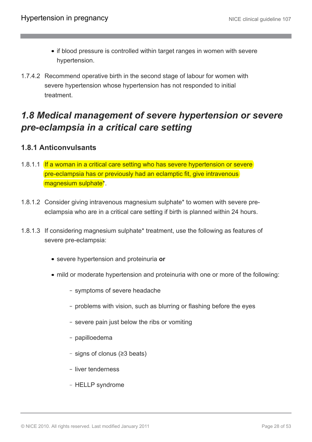- if blood pressure is controlled within target ranges in women with severe hypertension.
- 1.7.4.2 Recommend operative birth in the second stage of labour for women with severe hypertension whose hypertension has not responded to initial treatment.

# <span id="page-27-0"></span>*1.8 Medical management of severe hypertension or severe pre-eclampsia in a critical care setting*

### **1.8.1 Anticonvulsants**

- 1.8.1.1 If a woman in a critical care setting who has severe hypertension or severe pre-eclampsia has or previously had an eclamptic fit, give intravenous magnesium sulphate\*.
- 1.8.1.2 Consider giving intravenous magnesium sulphate\* to women with severe preeclampsia who are in a critical care setting if birth is planned within 24 hours.
- 1.8.1.3 If considering magnesium sulphate\* treatment, use the following as features of severe pre-eclampsia:
	- severe hypertension and proteinuria **or**
	- mild or moderate hypertension and proteinuria with one or more of the following:
		- symptoms of severe headache
		- problems with vision, such as blurring or flashing before the eyes
		- severe pain just below the ribs or vomiting
		- papilloedema
		- signs of clonus (≥3 beats)
		- liver tenderness
		- HELLP syndrome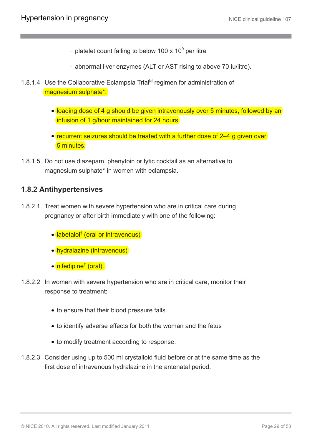- platelet count falling to below 100 x 10 $^{\circ}$  per litre
- abnormal liver enzymes (ALT or AST rising to above 70 iu/litre).
- <span id="page-28-0"></span>1.8.1.4 Use the Collaborative Eclampsia Trial<sup>[[2](#page-33-0)]</sup> regimen for administration of magnesium sulphate\*:
	- loading dose of 4 g should be given intravenously over 5 minutes, followed by an infusion of 1 g/hour maintained for 24 hours
	- recurrent seizures should be treated with a further dose of 2–4 g given over 5 minutes.
- 1.8.1.5 Do not use diazepam, phenytoin or lytic cocktail as an alternative to magnesium sulphate\* in women with eclampsia.

#### **1.8.2 Antihypertensives**

- 1.8.2.1 Treat women with severe hypertension who are in critical care during pregnancy or after birth immediately with one of the following:
	- labetalol† (oral or intravenous)
	- hydralazine (intravenous)
	- nifedipine<sup>†</sup> (oral).
- 1.8.2.2 In women with severe hypertension who are in critical care, monitor their response to treatment:
	- to ensure that their blood pressure falls
	- to identify adverse effects for both the woman and the fetus
	- to modify treatment according to response.
- 1.8.2.3 Consider using up to 500 ml crystalloid fluid before or at the same time as the first dose of intravenous hydralazine in the antenatal period.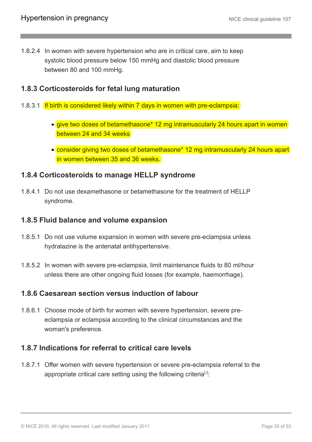1.8.2.4 In women with severe hypertension who are in critical care, aim to keep systolic blood pressure below 150 mmHg and diastolic blood pressure between 80 and 100 mmHg.

### **1.8.3 Corticosteroids for fetal lung maturation**

- 1.8.3.1 If birth is considered likely within 7 days in women with pre-eclampsia:
	- give two doses of betamethasone\* 12 mg intramuscularly 24 hours apart in women between 24 and 34 weeks
	- consider giving two doses of betamethasone\* 12 mg intramuscularly 24 hours apart in women between 35 and 36 weeks.

#### **1.8.4 Corticosteroids to manage HELLP syndrome**

1.8.4.1 Do not use dexamethasone or betamethasone for the treatment of HELLP syndrome.

#### **1.8.5 Fluid balance and volume expansion**

- 1.8.5.1 Do not use volume expansion in women with severe pre-eclampsia unless hydralazine is the antenatal antihypertensive.
- 1.8.5.2 In women with severe pre-eclampsia, limit maintenance fluids to 80 ml/hour unless there are other ongoing fluid losses (for example, haemorrhage).

#### **1.8.6 Caesarean section versus induction of labour**

1.8.6.1 Choose mode of birth for women with severe hypertension, severe preeclampsia or eclampsia according to the clinical circumstances and the woman's preference.

### **1.8.7 Indications for referral to critical care levels**

<span id="page-29-0"></span>1.8.7.1 Offer women with severe hypertension or severe pre-eclampsia referral to the appropriate critical care setting using the following criteria<sup>[[3](#page-33-1)]</sup>: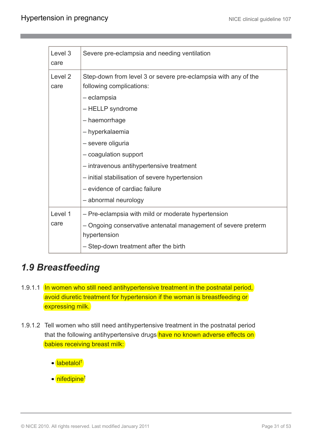| Level 3<br>care            | Severe pre-eclampsia and needing ventilation                                                                                                                                                                                                                                                                                                                           |
|----------------------------|------------------------------------------------------------------------------------------------------------------------------------------------------------------------------------------------------------------------------------------------------------------------------------------------------------------------------------------------------------------------|
| Level <sub>2</sub><br>care | Step-down from level 3 or severe pre-eclampsia with any of the<br>following complications:<br>- eclampsia<br>- HELLP syndrome<br>- haemorrhage<br>- hyperkalaemia<br>- severe oliguria<br>- coagulation support<br>- intravenous antihypertensive treatment<br>- initial stabilisation of severe hypertension<br>- evidence of cardiac failure<br>- abnormal neurology |
| Level 1<br>care            | - Pre-eclampsia with mild or moderate hypertension<br>- Ongoing conservative antenatal management of severe preterm<br>hypertension<br>- Step-down treatment after the birth                                                                                                                                                                                           |

# <span id="page-30-0"></span>*1.9 Breastfeeding*

- 1.9.1.1 In women who still need antihypertensive treatment in the postnatal period, avoid diuretic treatment for hypertension if the woman is breastfeeding or expressing milk.
- 1.9.1.2 Tell women who still need antihypertensive treatment in the postnatal period that the following antihypertensive drugs have no known adverse effects on babies receiving breast milk:
	- labetalol<sup>†</sup>
	- nifedipine<sup>†</sup>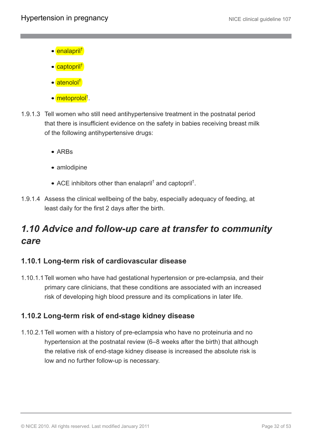- e enalapril<sup>†</sup>
- captopril<sup>†</sup>
- atenolol<sup>†</sup>
- metoprolol† .
- 1.9.1.3 Tell women who still need antihypertensive treatment in the postnatal period that there is insufficient evidence on the safety in babies receiving breast milk of the following antihypertensive drugs:
	- ARBs
	- amlodipine
	- ACE inhibitors other than enalapril<sup>†</sup> and captopril<sup>†</sup>.
- 1.9.1.4 Assess the clinical wellbeing of the baby, especially adequacy of feeding, at least daily for the first 2 days after the birth.

# <span id="page-31-0"></span>*1.10 Advice and follow-up care at transfer to community care*

### **1.10.1 Long-term risk of cardiovascular disease**

1.10.1.1Tell women who have had gestational hypertension or pre-eclampsia, and their primary care clinicians, that these conditions are associated with an increased risk of developing high blood pressure and its complications in later life.

### **1.10.2 Long-term risk of end-stage kidney disease**

1.10.2.1Tell women with a history of pre-eclampsia who have no proteinuria and no hypertension at the postnatal review (6–8 weeks after the birth) that although the relative risk of end-stage kidney disease is increased the absolute risk is low and no further follow-up is necessary.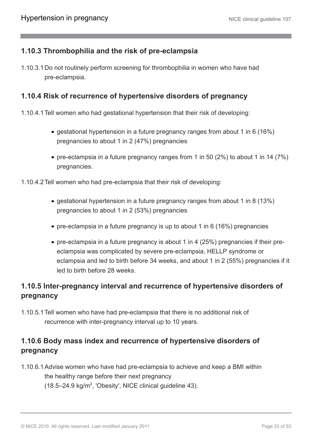### **1.10.3 Thrombophilia and the risk of pre-eclampsia**

1.10.3.1Do not routinely perform screening for thrombophilia in women who have had pre-eclampsia.

### **1.10.4 Risk of recurrence of hypertensive disorders of pregnancy**

- 1.10.4.1Tell women who had gestational hypertension that their risk of developing:
	- gestational hypertension in a future pregnancy ranges from about 1 in 6 (16%) pregnancies to about 1 in 2 (47%) pregnancies
	- pre-eclampsia in a future pregnancy ranges from 1 in 50 (2%) to about 1 in 14 (7%) pregnancies.
- 1.10.4.2Tell women who had pre-eclampsia that their risk of developing:
	- gestational hypertension in a future pregnancy ranges from about 1 in 8 (13%) pregnancies to about 1 in 2 (53%) pregnancies
	- pre-eclampsia in a future pregnancy is up to about 1 in 6 (16%) pregnancies
	- pre-eclampsia in a future pregnancy is about 1 in 4 (25%) pregnancies if their preeclampsia was complicated by severe pre-eclampsia, HELLP syndrome or eclampsia and led to birth before 34 weeks, and about 1 in 2 (55%) pregnancies if it led to birth before 28 weeks.

### **1.10.5 Inter-pregnancy interval and recurrence of hypertensive disorders of pregnancy**

1.10.5.1Tell women who have had pre-eclampsia that there is no additional risk of recurrence with inter-pregnancy interval up to 10 years.

### **1.10.6 Body mass index and recurrence of hypertensive disorders of pregnancy**

1.10.6.1Advise women who have had pre-eclampsia to achieve and keep a BMI within the healthy range before their next pregnancy  $(18.5-24.9 \text{ kg/m}^2, 'Obesity', NICE clinical guideline 43).$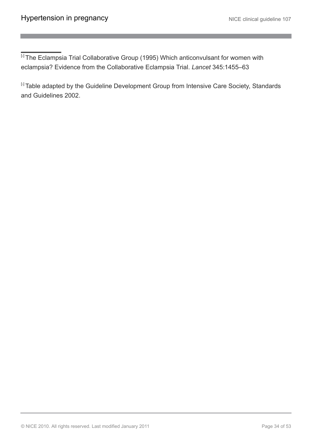<span id="page-33-0"></span><sup>[[2](#page-28-0)]</sup> The Eclampsia Trial Collaborative Group (1995) Which anticonvulsant for women with eclampsia? Evidence from the Collaborative Eclampsia Trial. *Lancet* 345:1455–63

<span id="page-33-1"></span>[5] Table adapted by the Guideline Development Group from Intensive Care Society, Standards and Guidelines 2002.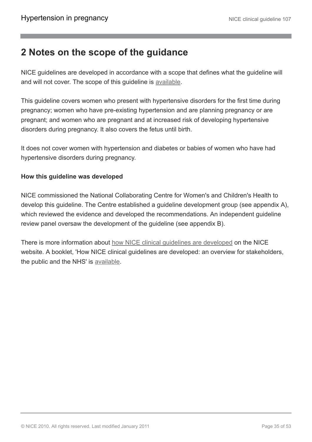### <span id="page-34-0"></span>**2 Notes on the scope of the guidance**

NICE guidelines are developed in accordance with a scope that defines what the guideline will and will not cover. The scope of this guideline is [available](http://www.nice.org.uk/guidance/CG107).

This guideline covers women who present with hypertensive disorders for the first time during pregnancy; women who have pre-existing hypertension and are planning pregnancy or are pregnant; and women who are pregnant and at increased risk of developing hypertensive disorders during pregnancy. It also covers the fetus until birth.

It does not cover women with hypertension and diabetes or babies of women who have had hypertensive disorders during pregnancy.

#### **How this guideline was developed**

NICE commissioned the National Collaborating Centre for Women's and Children's Health to develop this guideline. The Centre established a guideline development group (see appendix A), which reviewed the evidence and developed the recommendations. An independent guideline review panel oversaw the development of the guideline (see appendix B).

There is more information about [how NICE clinical guidelines are developed](http://www.nice.org.uk/HowWeWork) on the NICE website. A booklet, 'How NICE clinical guidelines are developed: an overview for stakeholders, the public and the NHS' is [available](http://www.nice.org.uk/aboutnice/howwework/developingniceclinicalguidelines/developing_nice_clinical_guidelines.jsp?domedia=1&mid=62F02D9B-19B9-E0B5-D4A26EC9A934FDC7).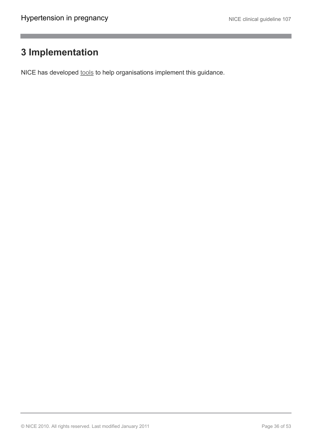### <span id="page-35-0"></span>**3 Implementation**

NICE has developed [tools](http://www.nice.org.uk/guidance/CG107) to help organisations implement this guidance.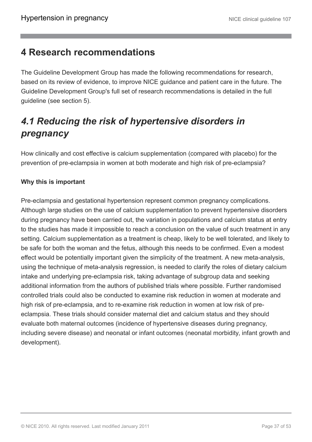### <span id="page-36-0"></span>**4 Research recommendations**

The Guideline Development Group has made the following recommendations for research, based on its review of evidence, to improve NICE guidance and patient care in the future. The Guideline Development Group's full set of research recommendations is detailed in the full guideline (see section 5).

# <span id="page-36-1"></span>*4.1 Reducing the risk of hypertensive disorders in pregnancy*

How clinically and cost effective is calcium supplementation (compared with placebo) for the prevention of pre-eclampsia in women at both moderate and high risk of pre-eclampsia?

### **Why this is important**

Pre-eclampsia and gestational hypertension represent common pregnancy complications. Although large studies on the use of calcium supplementation to prevent hypertensive disorders during pregnancy have been carried out, the variation in populations and calcium status at entry to the studies has made it impossible to reach a conclusion on the value of such treatment in any setting. Calcium supplementation as a treatment is cheap, likely to be well tolerated, and likely to be safe for both the woman and the fetus, although this needs to be confirmed. Even a modest effect would be potentially important given the simplicity of the treatment. A new meta-analysis, using the technique of meta-analysis regression, is needed to clarify the roles of dietary calcium intake and underlying pre-eclampsia risk, taking advantage of subgroup data and seeking additional information from the authors of published trials where possible. Further randomised controlled trials could also be conducted to examine risk reduction in women at moderate and high risk of pre-eclampsia, and to re-examine risk reduction in women at low risk of preeclampsia. These trials should consider maternal diet and calcium status and they should evaluate both maternal outcomes (incidence of hypertensive diseases during pregnancy, including severe disease) and neonatal or infant outcomes (neonatal morbidity, infant growth and development).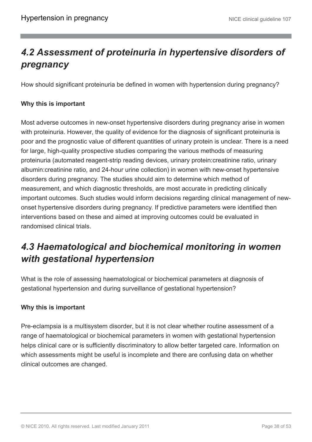# <span id="page-37-0"></span>*4.2 Assessment of proteinuria in hypertensive disorders of pregnancy*

How should significant proteinuria be defined in women with hypertension during pregnancy?

#### **Why this is important**

Most adverse outcomes in new-onset hypertensive disorders during pregnancy arise in women with proteinuria. However, the quality of evidence for the diagnosis of significant proteinuria is poor and the prognostic value of different quantities of urinary protein is unclear. There is a need for large, high-quality prospective studies comparing the various methods of measuring proteinuria (automated reagent-strip reading devices, urinary protein:creatinine ratio, urinary albumin:creatinine ratio, and 24-hour urine collection) in women with new-onset hypertensive disorders during pregnancy. The studies should aim to determine which method of measurement, and which diagnostic thresholds, are most accurate in predicting clinically important outcomes. Such studies would inform decisions regarding clinical management of newonset hypertensive disorders during pregnancy. If predictive parameters were identified then interventions based on these and aimed at improving outcomes could be evaluated in randomised clinical trials.

# <span id="page-37-1"></span>*4.3 Haematological and biochemical monitoring in women with gestational hypertension*

What is the role of assessing haematological or biochemical parameters at diagnosis of gestational hypertension and during surveillance of gestational hypertension?

#### **Why this is important**

Pre-eclampsia is a multisystem disorder, but it is not clear whether routine assessment of a range of haematological or biochemical parameters in women with gestational hypertension helps clinical care or is sufficiently discriminatory to allow better targeted care. Information on which assessments might be useful is incomplete and there are confusing data on whether clinical outcomes are changed.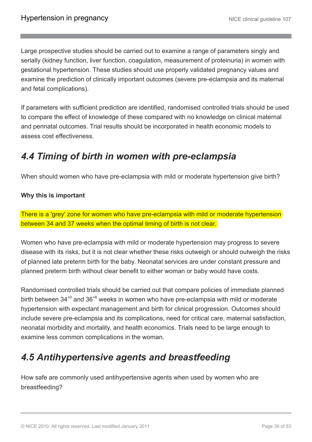Large prospective studies should be carried out to examine a range of parameters singly and serially (kidney function, liver function, coagulation, measurement of proteinuria) in women with gestational hypertension. These studies should use properly validated pregnancy values and examine the prediction of clinically important outcomes (severe pre-eclampsia and its maternal and fetal complications).

If parameters with sufficient prediction are identified, randomised controlled trials should be used to compare the effect of knowledge of these compared with no knowledge on clinical maternal and perinatal outcomes. Trial results should be incorporated in health economic models to assess cost effectiveness.

# <span id="page-38-0"></span>*4.4 Timing of birth in women with pre-eclampsia*

When should women who have pre-eclampsia with mild or moderate hypertension give birth?

#### **Why this is important**

There is a 'grey' zone for women who have pre-eclampsia with mild or moderate hypertension between 34 and 37 weeks when the optimal timing of birth is not clear.

Women who have pre-eclampsia with mild or moderate hypertension may progress to severe disease with its risks, but it is not clear whether these risks outweigh or should outweigh the risks of planned late preterm birth for the baby. Neonatal services are under constant pressure and planned preterm birth without clear benefit to either woman or baby would have costs.

Randomised controlled trials should be carried out that compare policies of immediate planned birth between 34<sup>+0</sup> and 36<sup>+6</sup> weeks in women who have pre-eclampsia with mild or moderate hypertension with expectant management and birth for clinical progression. Outcomes should include severe pre-eclampsia and its complications, need for critical care, maternal satisfaction, neonatal morbidity and mortality, and health economics. Trials need to be large enough to examine less common complications in the woman.

# <span id="page-38-1"></span>*4.5 Antihypertensive agents and breastfeeding*

How safe are commonly used antihypertensive agents when used by women who are breastfeeding?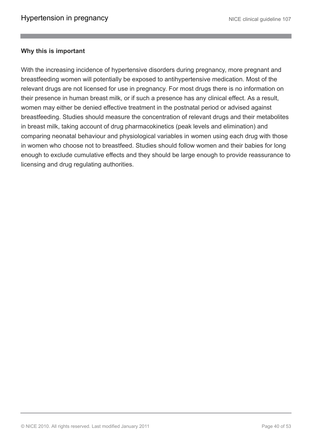#### **Why this is important**

With the increasing incidence of hypertensive disorders during pregnancy, more pregnant and breastfeeding women will potentially be exposed to antihypertensive medication. Most of the relevant drugs are not licensed for use in pregnancy. For most drugs there is no information on their presence in human breast milk, or if such a presence has any clinical effect. As a result, women may either be denied effective treatment in the postnatal period or advised against breastfeeding. Studies should measure the concentration of relevant drugs and their metabolites in breast milk, taking account of drug pharmacokinetics (peak levels and elimination) and comparing neonatal behaviour and physiological variables in women using each drug with those in women who choose not to breastfeed. Studies should follow women and their babies for long enough to exclude cumulative effects and they should be large enough to provide reassurance to licensing and drug regulating authorities.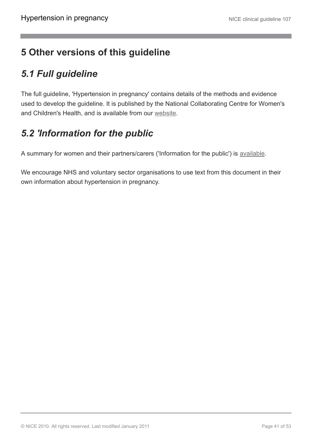# <span id="page-40-0"></span>**5 Other versions of this guideline**

# <span id="page-40-1"></span>*5.1 Full guideline*

The full guideline, 'Hypertension in pregnancy' contains details of the methods and evidence used to develop the guideline. It is published by the National Collaborating Centre for Women's and Children's Health, and is available from our [website.](http://www.nice.org.uk/guidance/CG107/Guidance)

# <span id="page-40-2"></span>*5.2 'Information for the public*

A summary for women and their partners/carers ('Information for the public') is [available.](http://publications.nice.org.uk/IFP107)

We encourage NHS and voluntary sector organisations to use text from this document in their own information about hypertension in pregnancy.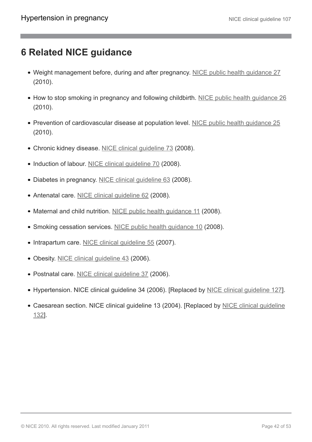## <span id="page-41-0"></span>**6 Related NICE guidance**

- Weight management before, during and after pregnancy. [NICE public health guidance 27](http://www.nice.org.uk/guidance/PH27) (2010).
- How to stop smoking in pregnancy and following childbirth. [NICE public health guidance 26](http://www.nice.org.uk/guidance/PH26) (2010).
- Prevention of cardiovascular disease at population level. [NICE public health guidance 25](http://www.nice.org.uk/guidance/PH25) (2010).
- Chronic kidney disease. [NICE clinical guideline 73](http://guidance.nice.org.uk/CG73) (2008).
- Induction of labour. [NICE clinical guideline 70](http://www.nice.org.uk/guidance/CG70) (2008).
- Diabetes in pregnancy. [NICE clinical guideline 63](http://www.nice.org.uk/guidance/CG63) (2008).
- Antenatal care. [NICE clinical guideline 62](http://www.nice.org.uk/guidance/CG62) (2008).
- Maternal and child nutrition. [NICE public health guidance 11](http://www.nice.org.uk/guidance/PH11) (2008).
- Smoking cessation services. [NICE public health guidance 10](http://www.nice.org.uk/guidance/PH10) (2008).
- Intrapartum care. [NICE clinical guideline 55](http://www.nice.org.uk/guidance/CG55) (2007).
- Obesity. [NICE clinical guideline 43](http://www.nice.org.uk/guidance/CG43) (2006).
- Postnatal care. [NICE clinical guideline 37](http://www.nice.org.uk/guidance/CG37) (2006).
- Hypertension. NICE clinical guideline 34 (2006). [Replaced by [NICE clinical guideline 127\]](http://www.nice.org.uk/guidance/CG127).
- Caesarean section. [NICE clinical guideline](http://www.nice.org.uk/guidance/CG132) 13 (2004). [Replaced by NICE clinical guideline [132](http://www.nice.org.uk/guidance/CG132)].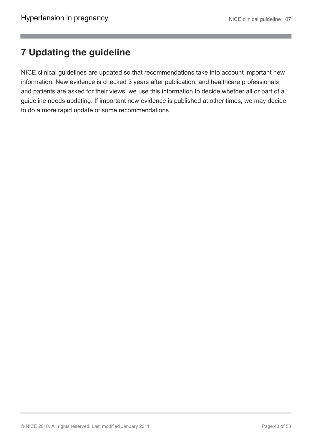# <span id="page-42-0"></span>**7 Updating the guideline**

NICE clinical guidelines are updated so that recommendations take into account important new information. New evidence is checked 3 years after publication, and healthcare professionals and patients are asked for their views; we use this information to decide whether all or part of a guideline needs updating. If important new evidence is published at other times, we may decide to do a more rapid update of some recommendations.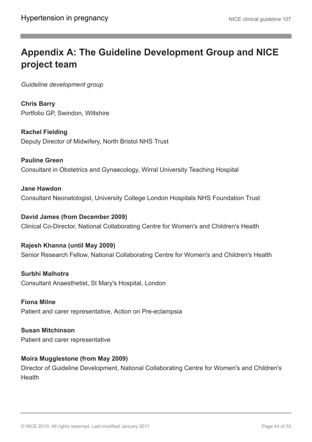# <span id="page-43-0"></span>**Appendix A: The Guideline Development Group and NICE project team**

*Guideline development group*

**Chris Barry** Portfolio GP, Swindon, Wiltshire

**Rachel Fielding** Deputy Director of Midwifery, North Bristol NHS Trust

**Pauline Green** Consultant in Obstetrics and Gynaecology, Wirral University Teaching Hospital

**Jane Hawdon** Consultant Neonatologist, University College London Hospitals NHS Foundation Trust

**David James (from December 2009)** Clinical Co-Director, National Collaborating Centre for Women's and Children's Health

**Rajesh Khanna (until May 2009)** Senior Research Fellow, National Collaborating Centre for Women's and Children's Health

**Surbhi Malhotra** Consultant Anaesthetist, St Mary's Hospital, London

**Fiona Milne** Patient and carer representative, Action on Pre-eclampsia

**Susan Mitchinson** Patient and carer representative

### **Moira Mugglestone (from May 2009)**

Director of Guideline Development, National Collaborating Centre for Women's and Children's Health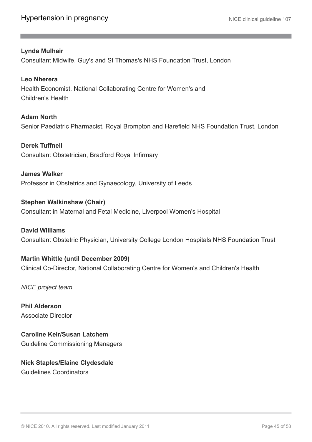#### **Lynda Mulhair**

Consultant Midwife, Guy's and St Thomas's NHS Foundation Trust, London

### **Leo Nherera** Health Economist, National Collaborating Centre for Women's and

Children's Health **Adam North**

Senior Paediatric Pharmacist, Royal Brompton and Harefield NHS Foundation Trust, London

#### **Derek Tuffnell**

Consultant Obstetrician, Bradford Royal Infirmary

**James Walker** Professor in Obstetrics and Gynaecology, University of Leeds

#### **Stephen Walkinshaw (Chair)** Consultant in Maternal and Fetal Medicine, Liverpool Women's Hospital

**David Williams** Consultant Obstetric Physician, University College London Hospitals NHS Foundation Trust

#### **Martin Whittle (until December 2009)**

Clinical Co-Director, National Collaborating Centre for Women's and Children's Health

*NICE project team*

**Phil Alderson** Associate Director

**Caroline Keir/Susan Latchem** Guideline Commissioning Managers

**Nick Staples/Elaine Clydesdale** Guidelines Coordinators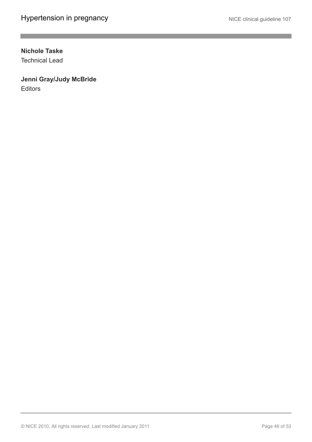$\mathcal{L}_{\mathcal{A}}$ 

#### **Nichole Taske**

Technical Lead

### **Jenni Gray/Judy McBride**

**Editors**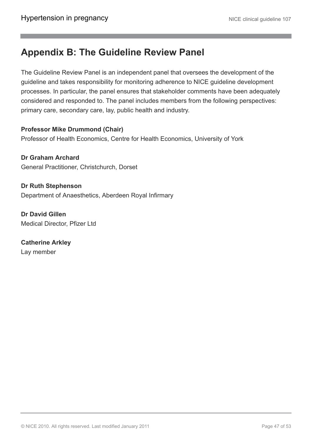### <span id="page-46-0"></span>**Appendix B: The Guideline Review Panel**

The Guideline Review Panel is an independent panel that oversees the development of the guideline and takes responsibility for monitoring adherence to NICE guideline development processes. In particular, the panel ensures that stakeholder comments have been adequately considered and responded to. The panel includes members from the following perspectives: primary care, secondary care, lay, public health and industry.

#### **Professor Mike Drummond (Chair)** Professor of Health Economics, Centre for Health Economics, University of York

**Dr Graham Archard** General Practitioner, Christchurch, Dorset

**Dr Ruth Stephenson** Department of Anaesthetics, Aberdeen Royal Infirmary

**Dr David Gillen** Medical Director, Pfizer Ltd

**Catherine Arkley** Lay member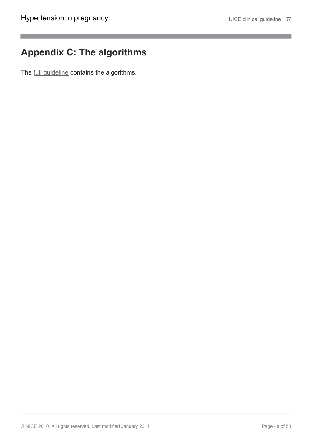## <span id="page-47-0"></span>**Appendix C: The algorithms**

The [full guideline](http://guidance.nice.org.uk/CG107/Guidance/pdf/English) contains the algorithms.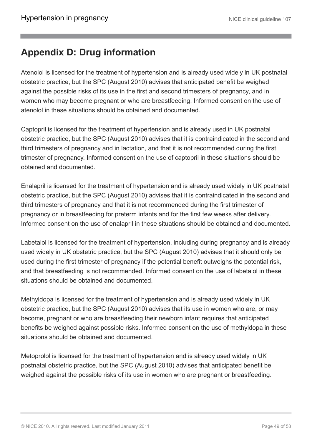### <span id="page-48-0"></span>**Appendix D: Drug information**

Atenolol is licensed for the treatment of hypertension and is already used widely in UK postnatal obstetric practice, but the SPC (August 2010) advises that anticipated benefit be weighed against the possible risks of its use in the first and second trimesters of pregnancy, and in women who may become pregnant or who are breastfeeding. Informed consent on the use of atenolol in these situations should be obtained and documented.

Captopril is licensed for the treatment of hypertension and is already used in UK postnatal obstetric practice, but the SPC (August 2010) advises that it is contraindicated in the second and third trimesters of pregnancy and in lactation, and that it is not recommended during the first trimester of pregnancy. Informed consent on the use of captopril in these situations should be obtained and documented.

Enalapril is licensed for the treatment of hypertension and is already used widely in UK postnatal obstetric practice, but the SPC (August 2010) advises that it is contraindicated in the second and third trimesters of pregnancy and that it is not recommended during the first trimester of pregnancy or in breastfeeding for preterm infants and for the first few weeks after delivery. Informed consent on the use of enalapril in these situations should be obtained and documented.

Labetalol is licensed for the treatment of hypertension, including during pregnancy and is already used widely in UK obstetric practice, but the SPC (August 2010) advises that it should only be used during the first trimester of pregnancy if the potential benefit outweighs the potential risk, and that breastfeeding is not recommended. Informed consent on the use of labetalol in these situations should be obtained and documented.

Methyldopa is licensed for the treatment of hypertension and is already used widely in UK obstetric practice, but the SPC (August 2010) advises that its use in women who are, or may become, pregnant or who are breastfeeding their newborn infant requires that anticipated benefits be weighed against possible risks. Informed consent on the use of methyldopa in these situations should be obtained and documented.

Metoprolol is licensed for the treatment of hypertension and is already used widely in UK postnatal obstetric practice, but the SPC (August 2010) advises that anticipated benefit be weighed against the possible risks of its use in women who are pregnant or breastfeeding.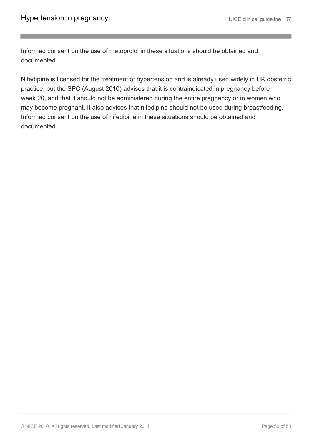Informed consent on the use of metoprolol in these situations should be obtained and documented.

Nifedipine is licensed for the treatment of hypertension and is already used widely in UK obstetric practice, but the SPC (August 2010) advises that it is contraindicated in pregnancy before week 20, and that it should not be administered during the entire pregnancy or in women who may become pregnant. It also advises that nifedipine should not be used during breastfeeding. Informed consent on the use of nifedipine in these situations should be obtained and documented.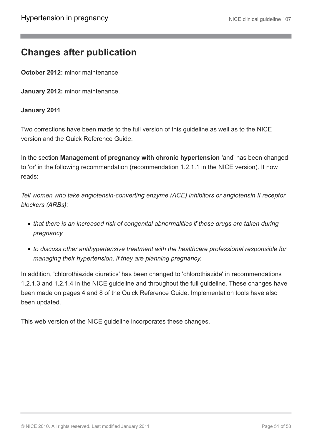### <span id="page-50-0"></span>**Changes after publication**

**October 2012:** minor maintenance

**January 2012:** minor maintenance.

#### **January 2011**

Two corrections have been made to the full version of this guideline as well as to the NICE version and the Quick Reference Guide.

In the section **Management of pregnancy with chronic hypertension** 'and' has been changed to 'or' in the following recommendation (recommendation 1.2.1.1 in the NICE version). It now reads:

*Tell women who take angiotensin-converting enzyme (ACE) inhibitors or angiotensin II receptor blockers (ARBs):*

- *that there is an increased risk of congenital abnormalities if these drugs are taken during pregnancy*
- *to discuss other antihypertensive treatment with the healthcare professional responsible for managing their hypertension, if they are planning pregnancy.*

In addition, 'chlorothiazide diuretics' has been changed to 'chlorothiazide' in recommendations 1.2.1.3 and 1.2.1.4 in the NICE guideline and throughout the full guideline. These changes have been made on pages 4 and 8 of the Quick Reference Guide. Implementation tools have also been updated.

This web version of the NICE guideline incorporates these changes.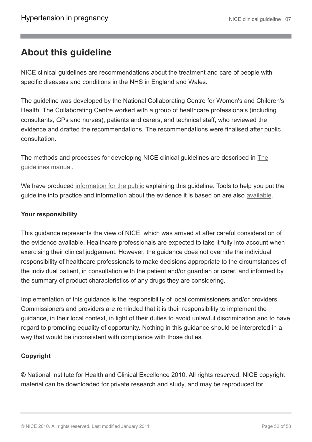# <span id="page-51-0"></span>**About this guideline**

NICE clinical guidelines are recommendations about the treatment and care of people with specific diseases and conditions in the NHS in England and Wales.

The guideline was developed by the National Collaborating Centre for Women's and Children's Health. The Collaborating Centre worked with a group of healthcare professionals (including consultants, GPs and nurses), patients and carers, and technical staff, who reviewed the evidence and drafted the recommendations. The recommendations were finalised after public consultation.

The methods and processes for developing NICE clinical guidelines are described in [The](http://www.nice.org.uk/aboutnice/howwework/developingniceclinicalguidelines/clinicalguidelinedevelopmentmethods/clinical_guideline_development_methods.jsp) [guidelines manual.](http://www.nice.org.uk/aboutnice/howwework/developingniceclinicalguidelines/clinicalguidelinedevelopmentmethods/clinical_guideline_development_methods.jsp)

We have produced [information for the public](http://publications.nice.org.uk/IFP107) explaining this guideline. Tools to help you put the guideline into practice and information about the evidence it is based on are also [available.](http://guidance.nice.org.uk/CG107)

#### **Your responsibility**

This guidance represents the view of NICE, which was arrived at after careful consideration of the evidence available. Healthcare professionals are expected to take it fully into account when exercising their clinical judgement. However, the guidance does not override the individual responsibility of healthcare professionals to make decisions appropriate to the circumstances of the individual patient, in consultation with the patient and/or guardian or carer, and informed by the summary of product characteristics of any drugs they are considering.

Implementation of this guidance is the responsibility of local commissioners and/or providers. Commissioners and providers are reminded that it is their responsibility to implement the guidance, in their local context, in light of their duties to avoid unlawful discrimination and to have regard to promoting equality of opportunity. Nothing in this guidance should be interpreted in a way that would be inconsistent with compliance with those duties.

#### **Copyright**

© National Institute for Health and Clinical Excellence 2010. All rights reserved. NICE copyright material can be downloaded for private research and study, and may be reproduced for